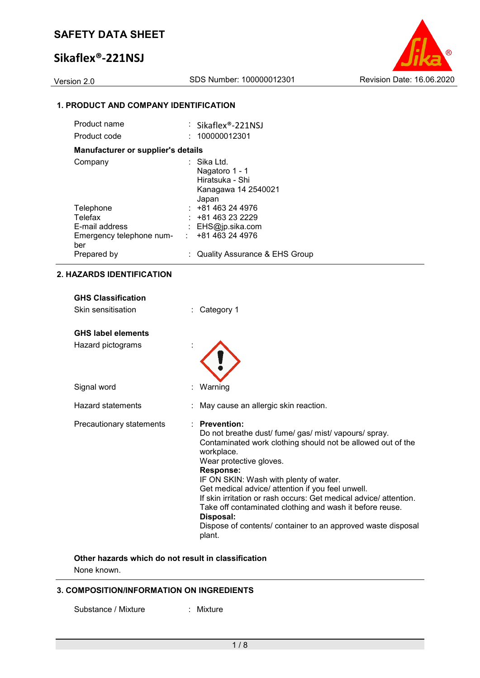# **Sikaflex®-221NSJ**



## **1. PRODUCT AND COMPANY IDENTIFICATION**

| Product name                       |    | $\therefore$ Sikaflex®-221NSJ            |
|------------------------------------|----|------------------------------------------|
| Product code                       |    | 100000012301                             |
| Manufacturer or supplier's details |    |                                          |
| Company                            |    | Sika Ltd.                                |
|                                    |    | Nagatoro 1 - 1<br>Hiratsuka - Shi        |
|                                    |    | Kanagawa 14 2540021                      |
|                                    |    | Japan                                    |
| Telephone                          |    | $: +81463244976$                         |
| Telefax                            |    | +81 463 23 2229                          |
| E-mail address                     |    | : $EHS@ip.sika.com$                      |
| Emergency telephone num-           | ÷. | +81 463 24 4976                          |
| ber                                |    |                                          |
| Prepared by                        |    | <b>Quality Assurance &amp; EHS Group</b> |

## **2. HAZARDS IDENTIFICATION**

| <b>GHS Classification</b> |                                                                                                                                                                                                                                                                                                                                                                                                                                                                                                                            |
|---------------------------|----------------------------------------------------------------------------------------------------------------------------------------------------------------------------------------------------------------------------------------------------------------------------------------------------------------------------------------------------------------------------------------------------------------------------------------------------------------------------------------------------------------------------|
| Skin sensitisation        | Category 1                                                                                                                                                                                                                                                                                                                                                                                                                                                                                                                 |
| <b>GHS label elements</b> |                                                                                                                                                                                                                                                                                                                                                                                                                                                                                                                            |
| Hazard pictograms         |                                                                                                                                                                                                                                                                                                                                                                                                                                                                                                                            |
| Signal word               | Warning                                                                                                                                                                                                                                                                                                                                                                                                                                                                                                                    |
| Hazard statements         | May cause an allergic skin reaction.                                                                                                                                                                                                                                                                                                                                                                                                                                                                                       |
| Precautionary statements  | $:$ Prevention:<br>Do not breathe dust/ fume/ gas/ mist/ vapours/ spray.<br>Contaminated work clothing should not be allowed out of the<br>workplace.<br>Wear protective gloves.<br><b>Response:</b><br>IF ON SKIN: Wash with plenty of water.<br>Get medical advice/ attention if you feel unwell.<br>If skin irritation or rash occurs: Get medical advice/attention.<br>Take off contaminated clothing and wash it before reuse.<br>Disposal:<br>Dispose of contents/ container to an approved waste disposal<br>plant. |

### **Other hazards which do not result in classification** None known.

## **3. COMPOSITION/INFORMATION ON INGREDIENTS**

Substance / Mixture : Mixture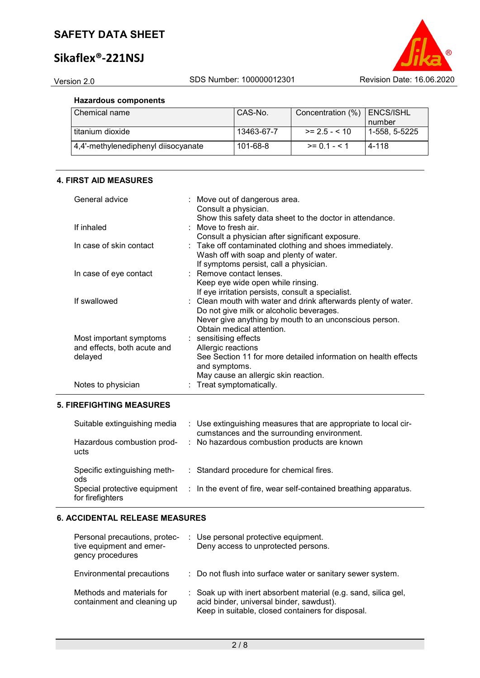# **Sikaflex®-221NSJ**

### **Hazardous components**

| I Chemical name                     | CAS-No.    | Concentration (%) | ENCS/ISHL<br>number |
|-------------------------------------|------------|-------------------|---------------------|
| I titanium dioxide                  | 13463-67-7 | $>= 2.5 - 10$     | 1-558. 5-5225       |
| 4,4'-methylenediphenyl diisocyanate | 101-68-8   | $>= 0.1 - 5.1$    | 4-118               |

### **4. FIRST AID MEASURES**

| General advice                  | : Move out of dangerous area.                                  |
|---------------------------------|----------------------------------------------------------------|
|                                 | Consult a physician.                                           |
|                                 | Show this safety data sheet to the doctor in attendance.       |
| If inhaled                      | : Move to fresh air.                                           |
|                                 | Consult a physician after significant exposure.                |
| In case of skin contact         | : Take off contaminated clothing and shoes immediately.        |
|                                 | Wash off with soap and plenty of water.                        |
|                                 | If symptoms persist, call a physician.                         |
| In case of eye contact          | : Remove contact lenses.                                       |
|                                 | Keep eye wide open while rinsing.                              |
|                                 | If eye irritation persists, consult a specialist.              |
| If swallowed                    | : Clean mouth with water and drink afterwards plenty of water. |
|                                 | Do not give milk or alcoholic beverages.                       |
|                                 | Never give anything by mouth to an unconscious person.         |
|                                 | Obtain medical attention.                                      |
| Most important symptoms         | : sensitising effects                                          |
| and effects, both acute and     | Allergic reactions                                             |
| delayed                         | See Section 11 for more detailed information on health effects |
|                                 | and symptoms.                                                  |
|                                 | May cause an allergic skin reaction.                           |
| Notes to physician              | : Treat symptomatically.                                       |
|                                 |                                                                |
| <b>5. FIREFIGHTING MEASURES</b> |                                                                |

#### Suitable extinguishing media : Use extinguishing measures that are appropriate to local circumstances and the surrounding environment. Hazardous combustion products : No hazardous combustion products are known Specific extinguishing methods : Standard procedure for chemical fires. Special protective equipment for firefighters : In the event of fire, wear self-contained breathing apparatus.

## **6. ACCIDENTAL RELEASE MEASURES**

| Personal precautions, protec-<br>tive equipment and emer-<br>gency procedures | : Use personal protective equipment.<br>Deny access to unprotected persons.                                                                                      |
|-------------------------------------------------------------------------------|------------------------------------------------------------------------------------------------------------------------------------------------------------------|
| Environmental precautions                                                     | : Do not flush into surface water or sanitary sewer system.                                                                                                      |
| Methods and materials for<br>containment and cleaning up                      | : Soak up with inert absorbent material (e.g. sand, silica gel,<br>acid binder, universal binder, sawdust).<br>Keep in suitable, closed containers for disposal. |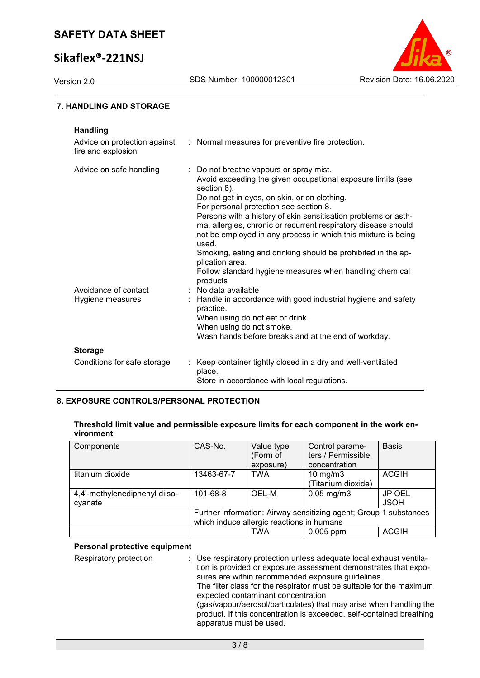# **Sikaflex®-221NSJ**



#### **7. HANDLING AND STORAGE**

| <b>Handling</b><br>Advice on protection against<br>fire and explosion | : Normal measures for preventive fire protection.                                                                                                                                                                                                                                                                                                                                                                                                                                                                                                                                       |
|-----------------------------------------------------------------------|-----------------------------------------------------------------------------------------------------------------------------------------------------------------------------------------------------------------------------------------------------------------------------------------------------------------------------------------------------------------------------------------------------------------------------------------------------------------------------------------------------------------------------------------------------------------------------------------|
| Advice on safe handling                                               | : Do not breathe vapours or spray mist.<br>Avoid exceeding the given occupational exposure limits (see<br>section 8).<br>Do not get in eyes, on skin, or on clothing.<br>For personal protection see section 8.<br>Persons with a history of skin sensitisation problems or asth-<br>ma, allergies, chronic or recurrent respiratory disease should<br>not be employed in any process in which this mixture is being<br>used.<br>Smoking, eating and drinking should be prohibited in the ap-<br>plication area.<br>Follow standard hygiene measures when handling chemical<br>products |
| Avoidance of contact                                                  | No data available                                                                                                                                                                                                                                                                                                                                                                                                                                                                                                                                                                       |
| Hygiene measures                                                      | Handle in accordance with good industrial hygiene and safety<br>practice.<br>When using do not eat or drink.<br>When using do not smoke.<br>Wash hands before breaks and at the end of workday.                                                                                                                                                                                                                                                                                                                                                                                         |
| <b>Storage</b>                                                        |                                                                                                                                                                                                                                                                                                                                                                                                                                                                                                                                                                                         |
| Conditions for safe storage                                           | Keep container tightly closed in a dry and well-ventilated<br>place.<br>Store in accordance with local regulations.                                                                                                                                                                                                                                                                                                                                                                                                                                                                     |

## **8. EXPOSURE CONTROLS/PERSONAL PROTECTION**

| Threshold limit value and permissible exposure limits for each component in the work en- |  |
|------------------------------------------------------------------------------------------|--|
| vironment                                                                                |  |

| Components                               | CAS-No.        | Value type<br>(Form of<br>exposure)       | Control parame-<br>ters / Permissible<br>concentration            | <b>Basis</b>          |
|------------------------------------------|----------------|-------------------------------------------|-------------------------------------------------------------------|-----------------------|
| titanium dioxide                         | 13463-67-7     | <b>TWA</b>                                | $10 \text{ mg/m}$<br>(Titanium dioxide)                           | <b>ACGIH</b>          |
| 4,4'-methylenediphenyl diiso-<br>cyanate | $101 - 68 - 8$ | OEL-M                                     | $0.05$ mg/m $3$                                                   | JP OEL<br><b>JSOH</b> |
|                                          |                | which induce allergic reactions in humans | Further information: Airway sensitizing agent; Group 1 substances |                       |
|                                          |                | TWA                                       | $0.005$ ppm                                                       | <b>ACGIH</b>          |

#### **Personal protective equipment**

Respiratory protection : Use respiratory protection unless adequate local exhaust ventilation is provided or exposure assessment demonstrates that exposures are within recommended exposure guidelines. The filter class for the respirator must be suitable for the maximum expected contaminant concentration (gas/vapour/aerosol/particulates) that may arise when handling the product. If this concentration is exceeded, self-contained breathing apparatus must be used.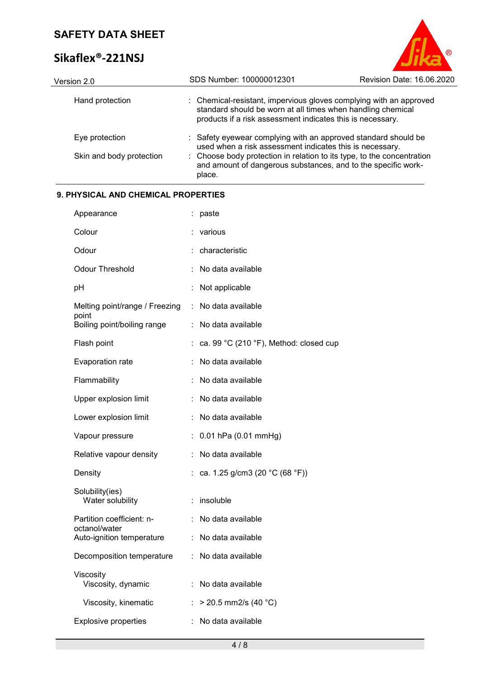# **Sikaflex®-221NSJ**



| Version 2.0              | SDS Number: 100000012301                                                                                                                                                                        | Revision Date: 16.06.2020 |
|--------------------------|-------------------------------------------------------------------------------------------------------------------------------------------------------------------------------------------------|---------------------------|
| Hand protection          | : Chemical-resistant, impervious gloves complying with an approved<br>standard should be worn at all times when handling chemical<br>products if a risk assessment indicates this is necessary. |                           |
| Eye protection           | : Safety eyewear complying with an approved standard should be<br>used when a risk assessment indicates this is necessary.                                                                      |                           |
| Skin and body protection | : Choose body protection in relation to its type, to the concentration<br>and amount of dangerous substances, and to the specific work-<br>place.                                               |                           |

## **9. PHYSICAL AND CHEMICAL PROPERTIES**

| Appearance                                 |    | paste                                  |
|--------------------------------------------|----|----------------------------------------|
| Colour                                     |    | various                                |
| Odour                                      |    | characteristic                         |
| <b>Odour Threshold</b>                     |    | No data available                      |
| рH                                         |    | Not applicable                         |
| Melting point/range / Freezing<br>point    | ÷  | No data available                      |
| Boiling point/boiling range                | t, | No data available                      |
| Flash point                                |    | ca. 99 °C (210 °F), Method: closed cup |
| Evaporation rate                           |    | No data available                      |
| Flammability                               |    | No data available                      |
| Upper explosion limit                      | ÷  | No data available                      |
| Lower explosion limit                      |    | No data available                      |
| Vapour pressure                            | ÷  | 0.01 hPa (0.01 mmHg)                   |
| Relative vapour density                    | ÷  | No data available                      |
| Density                                    |    | ca. 1.25 g/cm3 (20 °C (68 °F))         |
| Solubility(ies)<br>Water solubility        |    | insoluble                              |
| Partition coefficient: n-                  | ÷  | No data available                      |
| octanol/water<br>Auto-ignition temperature | ÷  | No data available                      |
| Decomposition temperature                  | ÷. | No data available                      |
| Viscosity<br>Viscosity, dynamic            | t. | No data available                      |
| Viscosity, kinematic                       | ÷  | > 20.5 mm2/s (40 °C)                   |
| <b>Explosive properties</b>                |    | No data available                      |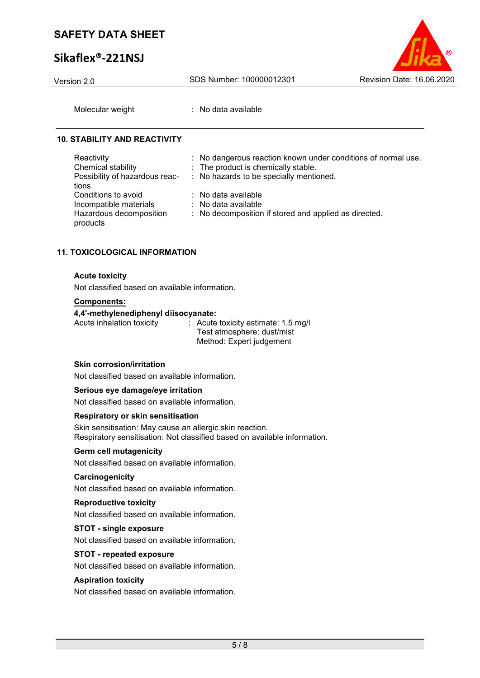# **Sikaflex®-221NSJ**



Molecular weight : No data available

#### **10. STABILITY AND REACTIVITY**

| Reactivity<br>Chemical stability<br>Possibility of hazardous reac- | : No dangerous reaction known under conditions of normal use.<br>: The product is chemically stable.<br>: No hazards to be specially mentioned. |
|--------------------------------------------------------------------|-------------------------------------------------------------------------------------------------------------------------------------------------|
| tions<br>Conditions to avoid<br>Incompatible materials             | : No data available<br>$\therefore$ No data available                                                                                           |
| Hazardous decomposition<br>products                                | : No decomposition if stored and applied as directed.                                                                                           |

#### **11. TOXICOLOGICAL INFORMATION**

#### **Acute toxicity**

Not classified based on available information.

#### **Components:**

#### **4,4'-methylenediphenyl diisocyanate:**

Acute inhalation toxicity : Acute toxicity estimate: 1.5 mg/l Test atmosphere: dust/mist Method: Expert judgement

#### **Skin corrosion/irritation**

Not classified based on available information.

#### **Serious eye damage/eye irritation**

Not classified based on available information.

### **Respiratory or skin sensitisation**

Skin sensitisation: May cause an allergic skin reaction. Respiratory sensitisation: Not classified based on available information.

#### **Germ cell mutagenicity**

Not classified based on available information.

#### **Carcinogenicity**

Not classified based on available information.

#### **Reproductive toxicity**

Not classified based on available information.

#### **STOT - single exposure**

Not classified based on available information.

#### **STOT - repeated exposure**

Not classified based on available information.

#### **Aspiration toxicity**

Not classified based on available information.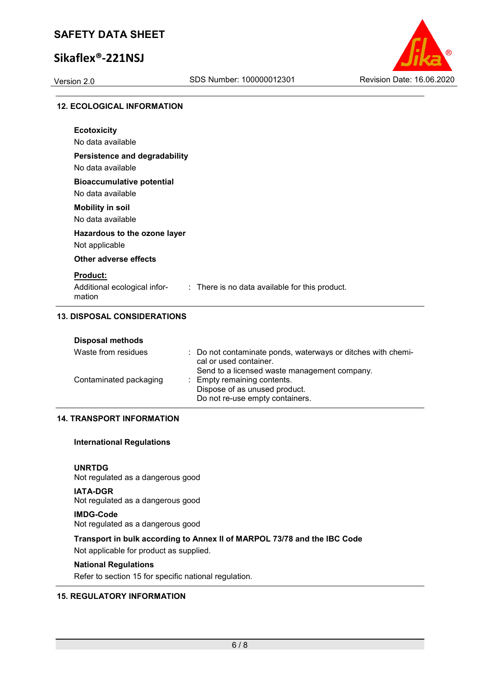# **Sikaflex®-221NSJ**



#### **12. ECOLOGICAL INFORMATION**

| <b>Ecotoxicity</b>                     |                                                |
|----------------------------------------|------------------------------------------------|
| No data available                      |                                                |
| <b>Persistence and degradability</b>   |                                                |
| No data available                      |                                                |
| <b>Bioaccumulative potential</b>       |                                                |
| No data available                      |                                                |
| <b>Mobility in soil</b>                |                                                |
| No data available                      |                                                |
| Hazardous to the ozone layer           |                                                |
| Not applicable                         |                                                |
| Other adverse effects                  |                                                |
| <b>Product:</b>                        |                                                |
| Additional ecological infor-<br>mation | : There is no data available for this product. |

|  | <b>Disposal methods</b> |  |
|--|-------------------------|--|
|  |                         |  |

| Waste from residues    | : Do not contaminate ponds, waterways or ditches with chemi-<br>cal or used container.          |
|------------------------|-------------------------------------------------------------------------------------------------|
|                        | Send to a licensed waste management company.                                                    |
| Contaminated packaging | : Empty remaining contents.<br>Dispose of as unused product.<br>Do not re-use empty containers. |

## **14. TRANSPORT INFORMATION**

#### **International Regulations**

**UNRTDG** Not regulated as a dangerous good

**IATA-DGR** Not regulated as a dangerous good

## **IMDG-Code**

Not regulated as a dangerous good

### **Transport in bulk according to Annex II of MARPOL 73/78 and the IBC Code**

Not applicable for product as supplied.

## **National Regulations**

Refer to section 15 for specific national regulation.

### **15. REGULATORY INFORMATION**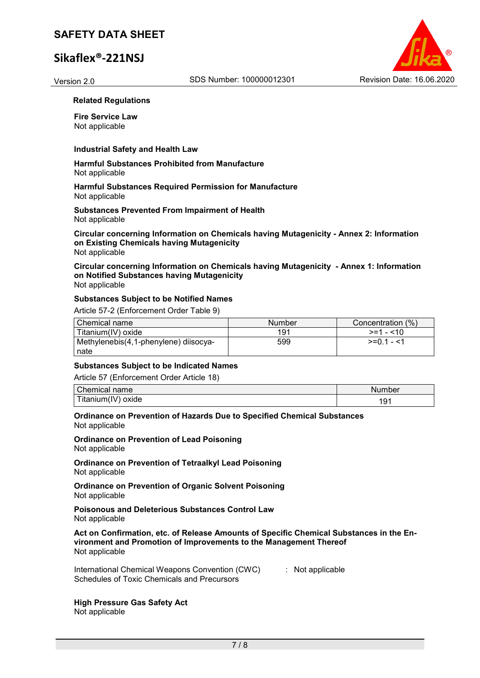# **Sikaflex®-221NSJ**



#### **Related Regulations**

**Fire Service Law** Not applicable

#### **Industrial Safety and Health Law**

**Harmful Substances Prohibited from Manufacture** Not applicable

#### **Harmful Substances Required Permission for Manufacture** Not applicable

**Substances Prevented From Impairment of Health** Not applicable

**Circular concerning Information on Chemicals having Mutagenicity - Annex 2: Information on Existing Chemicals having Mutagenicity** Not applicable

**Circular concerning Information on Chemicals having Mutagenicity - Annex 1: Information on Notified Substances having Mutagenicity** Not applicable

#### **Substances Subject to be Notified Names**

Article 57-2 (Enforcement Order Table 9)

| Chemical name                         | <b>Number</b> | Concentration (%) |
|---------------------------------------|---------------|-------------------|
| Titanium(IV) oxide                    | 191           | $> = 1 - 10$      |
| Methylenebis(4,1-phenylene) diisocya- | 599           | $>=0.1 - 1.1$     |
| nate                                  |               |                   |

#### **Substances Subject to be Indicated Names**

Article 57 (Enforcement Order Article 18)

| <b>Chemical name</b> | Number |
|----------------------|--------|
| 「itanium(IV) oxide   | 9۰.    |

#### **Ordinance on Prevention of Hazards Due to Specified Chemical Substances** Not applicable

**Ordinance on Prevention of Lead Poisoning** Not applicable

**Ordinance on Prevention of Tetraalkyl Lead Poisoning** Not applicable

**Ordinance on Prevention of Organic Solvent Poisoning** Not applicable

**Poisonous and Deleterious Substances Control Law** Not applicable

**Act on Confirmation, etc. of Release Amounts of Specific Chemical Substances in the Environment and Promotion of Improvements to the Management Thereof** Not applicable

International Chemical Weapons Convention (CWC) Schedules of Toxic Chemicals and Precursors : Not applicable

# **High Pressure Gas Safety Act**

Not applicable